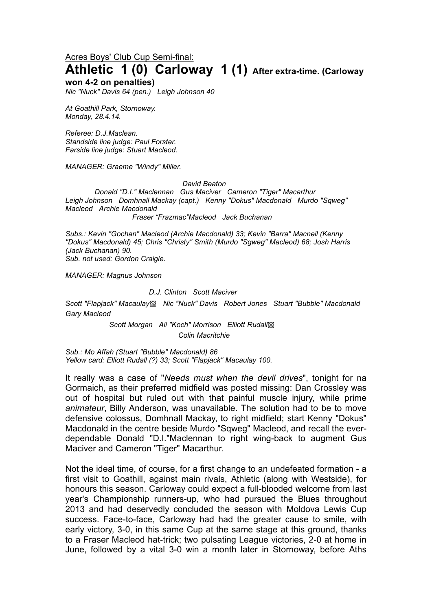Acres Boys' Club Cup Semi-final:

# **Athletic 1 (0) Carloway 1 (1) After extra-time. (Carloway**

#### **won 4-2 on penalties)**

*Nic "Nuck" Davis 64 (pen.) Leigh Johnson 40*

*At Goathill Park, Stornoway. Monday, 28.4.14.*

*Referee: D.J.Maclean. Standside line judge: Paul Forster. Farside line judge: Stuart Macleod.*

*MANAGER: Graeme "Windy" Miller.* 

#### *David Beaton*

*Donald "D.I." Maclennan Gus Maciver Cameron "Tiger" Macarthur Leigh Johnson Domhnall Mackay (capt.) Kenny "Dokus" Macdonald Murdo "Sqweg" Macleod Archie Macdonald Fraser "Frazmac"Macleod Jack Buchanan*

*Subs.: Kevin "Gochan" Macleod (Archie Macdonald) 33; Kevin "Barra" Macneil (Kenny "Dokus" Macdonald) 45; Chris "Christy" Smith (Murdo "Sgweg" Macleod) 68; Josh Harris (Jack Buchanan) 90.*

*Sub. not used: Gordon Craigie.*

*MANAGER: Magnus Johnson*

#### *D.J. Clinton Scott Maciver*

*Scott "Flapjack" Macaulay*▩ *Nic "Nuck" Davis Robert Jones Stuart "Bubble" Macdonald Gary Macleod*

> *Scott Morgan Ali "Koch" Morrison Elliott Rudall*▩ *Colin Macritchie*

*Sub.: Mo Affah (Stuart "Bubble" Macdonald) 86 Yellow card: Elliott Rudall (?) 33; Scott "Flapjack" Macaulay 100.*

It really was a case of "*Needs must when the devil drives*", tonight for na Gormaich, as their preferred midfield was posted missing: Dan Crossley was out of hospital but ruled out with that painful muscle injury, while prime *animateur*, Billy Anderson, was unavailable. The solution had to be to move defensive colossus, Domhnall Mackay, to right midfield; start Kenny "Dokus" Macdonald in the centre beside Murdo "Sqweg" Macleod, and recall the everdependable Donald "D.I."Maclennan to right wing-back to augment Gus Maciver and Cameron "Tiger" Macarthur.

Not the ideal time, of course, for a first change to an undefeated formation - a first visit to Goathill, against main rivals, Athletic (along with Westside), for honours this season. Carloway could expect a full-blooded welcome from last year's Championship runners-up, who had pursued the Blues throughout 2013 and had deservedly concluded the season with Moldova Lewis Cup success. Face-to-face, Carloway had had the greater cause to smile, with early victory, 3-0, in this same Cup at the same stage at this ground, thanks to a Fraser Macleod hat-trick; two pulsating League victories, 2-0 at home in June, followed by a vital 3-0 win a month later in Stornoway, before Aths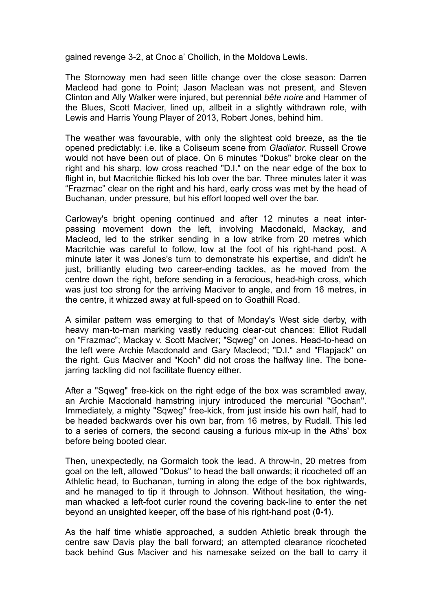gained revenge 3-2, at Cnoc a' Choilich, in the Moldova Lewis.

The Stornoway men had seen little change over the close season: Darren Macleod had gone to Point; Jason Maclean was not present, and Steven Clinton and Ally Walker were injured, but perennial *bête noire* and Hammer of the Blues, Scott Maciver, lined up, allbeit in a slightly withdrawn role, with Lewis and Harris Young Player of 2013, Robert Jones, behind him.

The weather was favourable, with only the slightest cold breeze, as the tie opened predictably: i.e. like a Coliseum scene from *Gladiator*. Russell Crowe would not have been out of place. On 6 minutes "Dokus" broke clear on the right and his sharp, low cross reached "D.I." on the near edge of the box to flight in, but Macritchie flicked his lob over the bar. Three minutes later it was "Frazmac" clear on the right and his hard, early cross was met by the head of Buchanan, under pressure, but his effort looped well over the bar.

Carloway's bright opening continued and after 12 minutes a neat interpassing movement down the left, involving Macdonald, Mackay, and Macleod, led to the striker sending in a low strike from 20 metres which Macritchie was careful to follow, low at the foot of his right-hand post. A minute later it was Jones's turn to demonstrate his expertise, and didn't he just, brilliantly eluding two career-ending tackles, as he moved from the centre down the right, before sending in a ferocious, head-high cross, which was just too strong for the arriving Maciver to angle, and from 16 metres, in the centre, it whizzed away at full-speed on to Goathill Road.

A similar pattern was emerging to that of Monday's West side derby, with heavy man-to-man marking vastly reducing clear-cut chances: Elliot Rudall on "Frazmac"; Mackay v. Scott Maciver; "Sqweg" on Jones. Head-to-head on the left were Archie Macdonald and Gary Macleod; "D.I." and "Flapjack" on the right. Gus Maciver and "Koch" did not cross the halfway line. The bonejarring tackling did not facilitate fluency either.

After a "Sqweg" free-kick on the right edge of the box was scrambled away, an Archie Macdonald hamstring injury introduced the mercurial "Gochan". Immediately, a mighty "Sqweg" free-kick, from just inside his own half, had to be headed backwards over his own bar, from 16 metres, by Rudall. This led to a series of corners, the second causing a furious mix-up in the Aths' box before being booted clear.

Then, unexpectedly, na Gormaich took the lead. A throw-in, 20 metres from goal on the left, allowed "Dokus" to head the ball onwards; it ricocheted off an Athletic head, to Buchanan, turning in along the edge of the box rightwards, and he managed to tip it through to Johnson. Without hesitation, the wingman whacked a left-foot curler round the covering back-line to enter the net beyond an unsighted keeper, off the base of his right-hand post (**0-1**).

As the half time whistle approached, a sudden Athletic break through the centre saw Davis play the ball forward; an attempted clearance ricocheted back behind Gus Maciver and his namesake seized on the ball to carry it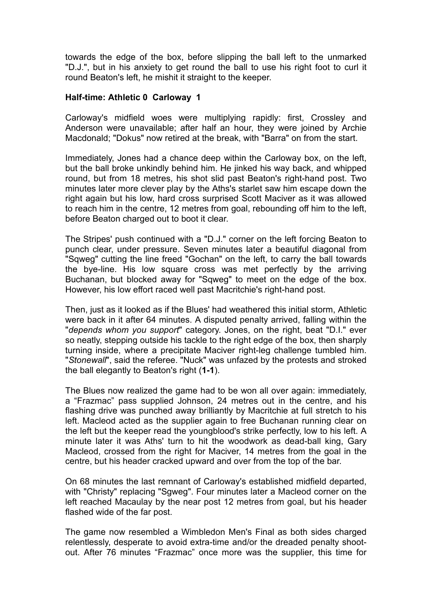towards the edge of the box, before slipping the ball left to the unmarked "D.J.", but in his anxiety to get round the ball to use his right foot to curl it round Beaton's left, he mishit it straight to the keeper.

#### **Half-time: Athletic 0 Carloway 1**

Carloway's midfield woes were multiplying rapidly: first, Crossley and Anderson were unavailable; after half an hour, they were joined by Archie Macdonald; "Dokus" now retired at the break, with "Barra" on from the start.

Immediately, Jones had a chance deep within the Carloway box, on the left, but the ball broke unkindly behind him. He jinked his way back, and whipped round, but from 18 metres, his shot slid past Beaton's right-hand post. Two minutes later more clever play by the Aths's starlet saw him escape down the right again but his low, hard cross surprised Scott Maciver as it was allowed to reach him in the centre, 12 metres from goal, rebounding off him to the left, before Beaton charged out to boot it clear.

The Stripes' push continued with a "D.J." corner on the left forcing Beaton to punch clear, under pressure. Seven minutes later a beautiful diagonal from "Sqweg" cutting the line freed "Gochan" on the left, to carry the ball towards the bye-line. His low square cross was met perfectly by the arriving Buchanan, but blocked away for "Sqweg" to meet on the edge of the box. However, his low effort raced well past Macritchie's right-hand post.

Then, just as it looked as if the Blues' had weathered this initial storm, Athletic were back in it after 64 minutes. A disputed penalty arrived, falling within the "*depends whom you support*" category. Jones, on the right, beat "D.I." ever so neatly, stepping outside his tackle to the right edge of the box, then sharply turning inside, where a precipitate Maciver right-leg challenge tumbled him. "*Stonewall*", said the referee. "Nuck" was unfazed by the protests and stroked the ball elegantly to Beaton's right (**1-1**).

The Blues now realized the game had to be won all over again: immediately, a "Frazmac" pass supplied Johnson, 24 metres out in the centre, and his flashing drive was punched away brilliantly by Macritchie at full stretch to his left. Macleod acted as the supplier again to free Buchanan running clear on the left but the keeper read the youngblood's strike perfectly, low to his left. A minute later it was Aths' turn to hit the woodwork as dead-ball king, Gary Macleod, crossed from the right for Maciver, 14 metres from the goal in the centre, but his header cracked upward and over from the top of the bar.

On 68 minutes the last remnant of Carloway's established midfield departed, with "Christy" replacing "Sgweg". Four minutes later a Macleod corner on the left reached Macaulay by the near post 12 metres from goal, but his header flashed wide of the far post.

The game now resembled a Wimbledon Men's Final as both sides charged relentlessly, desperate to avoid extra-time and/or the dreaded penalty shootout. After 76 minutes "Frazmac" once more was the supplier, this time for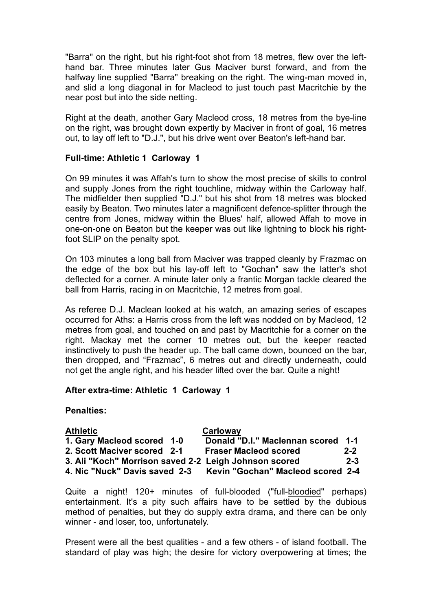"Barra" on the right, but his right-foot shot from 18 metres, flew over the lefthand bar. Three minutes later Gus Maciver burst forward, and from the halfway line supplied "Barra" breaking on the right. The wing-man moved in, and slid a long diagonal in for Macleod to just touch past Macritchie by the near post but into the side netting.

Right at the death, another Gary Macleod cross, 18 metres from the bye-line on the right, was brought down expertly by Maciver in front of goal, 16 metres out, to lay off left to "D.J.", but his drive went over Beaton's left-hand bar.

### **Full-time: Athletic 1 Carloway 1**

On 99 minutes it was Affah's turn to show the most precise of skills to control and supply Jones from the right touchline, midway within the Carloway half. The midfielder then supplied "D.J." but his shot from 18 metres was blocked easily by Beaton. Two minutes later a magnificent defence-splitter through the centre from Jones, midway within the Blues' half, allowed Affah to move in one-on-one on Beaton but the keeper was out like lightning to block his rightfoot SLIP on the penalty spot.

On 103 minutes a long ball from Maciver was trapped cleanly by Frazmac on the edge of the box but his lay-off left to "Gochan" saw the latter's shot deflected for a corner. A minute later only a frantic Morgan tackle cleared the ball from Harris, racing in on Macritchie, 12 metres from goal.

As referee D.J. Maclean looked at his watch, an amazing series of escapes occurred for Aths: a Harris cross from the left was nodded on by Macleod, 12 metres from goal, and touched on and past by Macritchie for a corner on the right. Mackay met the corner 10 metres out, but the keeper reacted instinctively to push the header up. The ball came down, bounced on the bar, then dropped, and "Frazmac", 6 metres out and directly underneath, could not get the angle right, and his header lifted over the bar. Quite a night!

### **After extra-time: Athletic 1 Carloway 1**

## **Penalties:**

| <b>Athletic</b>                                       |  | Carloway                                 |         |
|-------------------------------------------------------|--|------------------------------------------|---------|
| 1. Gary Macleod scored 1-0                            |  | Donald "D.I." Maclennan scored 1-1       |         |
| 2. Scott Maciver scored 2-1                           |  | <b>Fraser Macleod scored</b>             | $2 - 2$ |
| 3. Ali "Koch" Morrison saved 2-2 Leigh Johnson scored |  |                                          | $2 - 3$ |
| 4. Nic "Nuck" Davis saved 2-3                         |  | <b>Kevin "Gochan" Macleod scored 2-4</b> |         |

Quite a night! 120+ minutes of full-blooded ("full-bloodied" perhaps) entertainment. It's a pity such affairs have to be settled by the dubious method of penalties, but they do supply extra drama, and there can be only winner - and loser, too, unfortunately.

Present were all the best qualities - and a few others - of island football. The standard of play was high; the desire for victory overpowering at times; the